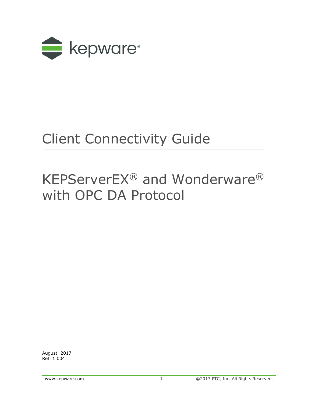

# Client Connectivity Guide

## KEPServerEX® and Wonderware® with OPC DA Protocol

August, 2017 Ref. 1.004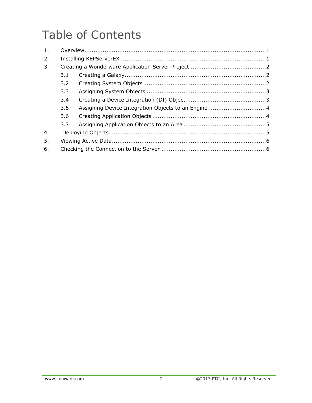## Table of Contents

| 1. |     |                                                     |  |  |  |  |  |
|----|-----|-----------------------------------------------------|--|--|--|--|--|
| 2. |     |                                                     |  |  |  |  |  |
| 3. |     |                                                     |  |  |  |  |  |
|    | 3.1 |                                                     |  |  |  |  |  |
|    | 3.2 |                                                     |  |  |  |  |  |
|    | 3.3 |                                                     |  |  |  |  |  |
|    | 3.4 |                                                     |  |  |  |  |  |
|    | 3.5 | Assigning Device Integration Objects to an Engine 4 |  |  |  |  |  |
|    | 3.6 |                                                     |  |  |  |  |  |
|    | 3.7 |                                                     |  |  |  |  |  |
| 4. |     |                                                     |  |  |  |  |  |
| 5. |     |                                                     |  |  |  |  |  |
| 6. |     |                                                     |  |  |  |  |  |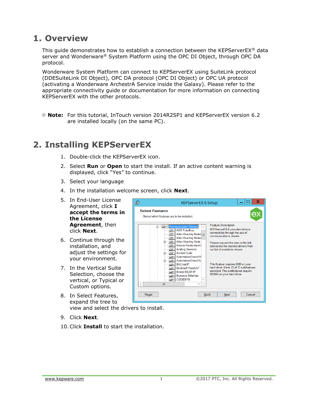### <span id="page-2-0"></span>**1. Overview**

This guide demonstrates how to establish a connection between the KEPServerEX® data server and Wonderware® System Platform using the OPC DI Object, through OPC DA protocol.

Wonderware System Platform can connect to KEPServerEX using SuiteLink protocol (DDESuiteLink DI Object), OPC DA protocol (OPC DI Object) or OPC UA protocol (activating a Wonderware ArchestrA Service inside the Galaxy). Please refer to the appropriate connectivity guide or documentation for more information on connecting KEPServerEX with the other protocols.

**Note:** For this tutorial, InTouch version 2014R2SP1 and KEPServerEX version 6.2 are installed locally (on the same PC).

## <span id="page-2-1"></span>**2. Installing KEPServerEX**

- 1. Double-click the KEPServerEX icon.
- 2. Select **Run** or **Open** to start the install. If an active content warning is displayed, click "Yes" to continue.
- 3. Select your language
- 4. In the installation welcome screen, click **Next**.
- 5. In End-User License Agreement, click **I accept the terms in the License Agreement**, then click **Next**.
- 6. Continue through the installation, and adjust the settings for your environment.
- 7. In the Vertical Suite Selection, choose the vertical, or Typical or Custom options.
- 8. In Select Features, expand the tree to view and select the drivers to install.
- 9. Click **Next**.
- 10.Click **Install** to start the installation.

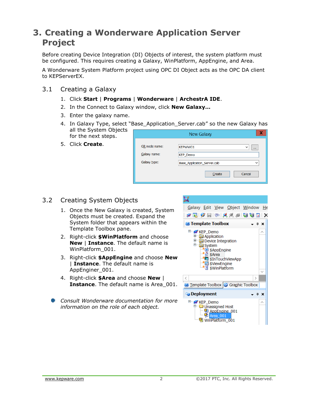## <span id="page-3-0"></span>**3. Creating a Wonderware Application Server Project**

Before creating Device Integration (DI) Objects of interest, the system platform must be configured. This requires creating a Galaxy, WinPlatform, AppEngine, and Area.

A Wonderware System Platform project using OPC DI Object acts as the OPC DA client to KEPServerEX.

- <span id="page-3-1"></span>3.1 Creating a Galaxy
	- 1. Click **Start** | **Programs** | **Wonderware** | **ArchestrA IDE**.
	- 2. In the Connect to Galaxy window, click **New Galaxy…**
	- 3. Enter the galaxy name.
	- 4. In Galaxy Type, select "Base\_Application\_Server.cab" so the new Galaxy has all the System Objects for the next steps.
	- 5. Click **Create**.

|                              | New Galaxy                                                                 | х |
|------------------------------|----------------------------------------------------------------------------|---|
| GR node name:                | KEPWW01<br>$\checkmark$<br>$\cdots$                                        |   |
| Galaxy name:<br>Galaxy type: | <b>KEP_Demo</b><br>Base_Application_Server.cab<br>$\overline{\phantom{a}}$ |   |
|                              | Cancel<br>Create                                                           |   |

#### 3.2 Creating System Objects

- <span id="page-3-2"></span>1. Once the New Galaxy is created, System Objects must be created. Expand the System folder that appears within the Template Toolbox pane.
- 2. Right-click **\$WinPlatform** and choose **New** | **Instance**. The default name is WinPlatform\_001.
- 3. Right-click **\$AppEngine** and choose **New** | **Instance**. The default name is AppEnginer\_001.
- 4. Right-click **\$Area** and choose **New** | **Instance.** The default name is Area 001.
- *Consult Wonderware documentation for more information on the role of each object.*

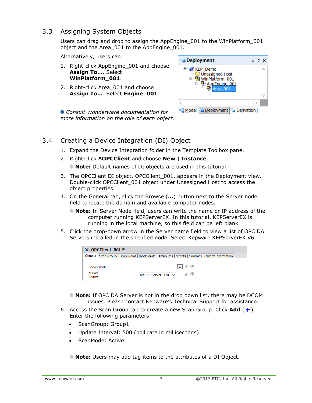#### <span id="page-4-0"></span>3.3 Assigning System Objects

Users can drag and drop to assign the AppEngine\_001 to the WinPlatform\_001 object and the Area 001 to the AppEngine 001.

Alternatively, users can:

- 1. Right-click AppEngine 001 and choose **Assign To…**. Select **WinPlatform\_001**.
- 2. Right-click Area 001 and choose **Assign To…**. Select **Engine\_001**.

**Co** Deployment  $- 4x$ E KEP\_Demo  $\lambda$ Unassigned Host WinPlatform\_001  $\frac{1}{2}$  AppEngine 001 Area 001  $\checkmark$  $\, <\,$  $\rightarrow$ Model <sup>c</sup>o Deployment **C** Derivation

*Consult Wonderware documentation for more information on the role of each object.*

### <span id="page-4-1"></span>3.4 Creating a Device Integration (DI) Object

- 1. Expand the Device Integration folder in the Template Toolbox pane.
- 2. Right-click **\$OPCClient** and choose **New** | **Instance**.

**Note:** Default names of DI objects are used in this tutorial.

- 3. The OPCClient DI object, OPCClient\_001, appears in the Deployment view. Double-click OPCClient\_001 object under Unassigned Host to access the object properties.
- 4. On the General tab, click the Browse (**…**) button next to the Server node field to locate the domain and available computer nodes.
	- **Note:** In Server Node field, users can write the name or IP address of the computer running KEPServerEX. In this tutorial, KEPServerEX is running in the local machine, so this field can be left blank
- 5. Click the drop-down arrow in the Server name field to view a list of OPC DA Servers installed in the specified node. Select Kepware.KEPServerEX.V6.

| OPCClient 001 *<br>n.                                                                                |                         |  |         |        |  |  |  |  |  |
|------------------------------------------------------------------------------------------------------|-------------------------|--|---------|--------|--|--|--|--|--|
| General Scan Group   Block Read   Block Write   Attributes   Scripts   Graphics   Object Information |                         |  |         |        |  |  |  |  |  |
| Server node:<br>server<br>name:                                                                      | lrare.KEPServerEX.V6 vl |  | I.I S 0 | டு (1) |  |  |  |  |  |

- **Note:** If OPC DA Server is not in the drop down list, there may be DCOM issues. Please contact Kepware's Technical Support for assistance.
- 6. Access the Scan Group tab to create a new Scan Group. Click **Add**  $( + )$ . Enter the following parameters:
	- ScanGroup: Group1
	- Update Interval: 500 (poll rate in milliseconds)
	- ScanMode: Active
	- **Note:** Users may add tag items to the attributes of a DI Object.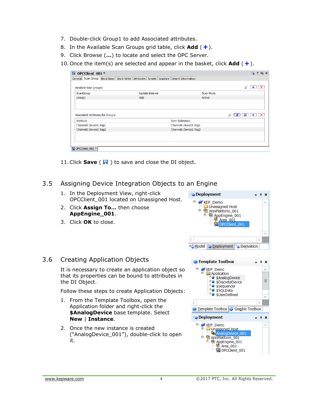- <span id="page-5-1"></span>7. Double-click Group1 to add Associated attributes.
- 8. In the Available Scan Groups grid table, click **Add** ( $\frac{1}{\epsilon}$ ).
- 9. Click Browse (**…**) to locate and select the OPC Server.
- 10. Once the item(s) are selected and appear in the basket, click **Add**  $( + )$ .

| $\mathbb{E}$<br>OPCClient 001 *                                                          |                        |                       |               | $\Box$<br>$\boldsymbol{\mathcal{P}}$<br>$E_2 \times$ |  |  |  |  |  |
|------------------------------------------------------------------------------------------|------------------------|-----------------------|---------------|------------------------------------------------------|--|--|--|--|--|
| General Scan Group Block Read Block Write Attributes Scripts Graphics Object Information |                        |                       |               |                                                      |  |  |  |  |  |
| Available scan groups:                                                                   |                        |                       |               | $+$<br>சி                                            |  |  |  |  |  |
| <b>ScanGroup</b>                                                                         | <b>Update Interval</b> |                       | Scan Mode     |                                                      |  |  |  |  |  |
| Group1                                                                                   | 500                    |                       | <b>Active</b> |                                                      |  |  |  |  |  |
|                                                                                          |                        |                       |               |                                                      |  |  |  |  |  |
|                                                                                          |                        |                       |               |                                                      |  |  |  |  |  |
| Associated attributes for Group1:<br>Attribute                                           |                        | <b>Item Reference</b> |               | ு                                                    |  |  |  |  |  |
| Channel1.Device1.Tag1                                                                    |                        | Channel1.Device1.Tag1 |               |                                                      |  |  |  |  |  |
| Channel1.Device1.Tag2                                                                    |                        | Channel1.Device1.Tag2 |               |                                                      |  |  |  |  |  |
|                                                                                          |                        |                       |               |                                                      |  |  |  |  |  |
|                                                                                          |                        |                       |               |                                                      |  |  |  |  |  |
|                                                                                          |                        |                       |               |                                                      |  |  |  |  |  |
|                                                                                          |                        |                       |               |                                                      |  |  |  |  |  |
| 图 OPCClient_001 *                                                                        |                        |                       |               |                                                      |  |  |  |  |  |

11. Click **Save** ( $\blacksquare$ ) to save and close the DI object.

#### <span id="page-5-0"></span>3.5 Assigning Device Integration Objects to an Engine

- 1. In the Deployment View, right-click OPCClient\_001 located on Unassigned Host.
- 2. Click **Assign To…** then choose **AppEngine\_001**.
- 3. Click **OK** to close.

#### **Deployment**  $4 \times$ E KEP Demo  $\overline{\wedge}$ Unassigned Host <u>D</u> WinPlatform\_001  $\n **App Engine_001**\n **Sub Example 001**\n **Sub Example 001**$ Area 001 W **OPCClient**  $\langle$  $\rightarrow$ Model Co Deployment C Derivation

#### 3.6 Creating Application Objects

It is necessary to create an application object so that its properties can be bound to attributes in the DI Object.

Follow these steps to create Application Objects:

- 1. From the Template Toolbox, open the Application folder and right-click the **\$AnalogDevice** base template. Select **New** | **Instance**.
- 2. Once the new instance is created ("AnalogDevice\_001"), double-click to open it.

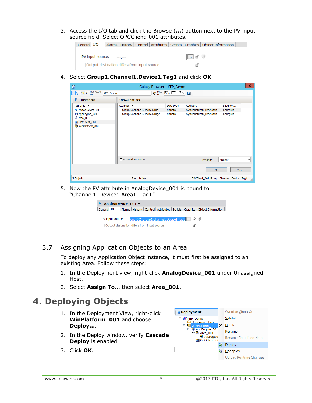3. Access the I/O tab and click the Browse (**…**) button next to the PV input source field. Select OPCClient\_001 attributes.



4. Select **Group1.Channel1.Device1.Tag1** and click **OK**.

| F)                                                                                                                                                                                                                                                                                                                                     | Galaxy Browser - KEP Demo    |               |                                            | x.                |
|----------------------------------------------------------------------------------------------------------------------------------------------------------------------------------------------------------------------------------------------------------------------------------------------------------------------------------------|------------------------------|---------------|--------------------------------------------|-------------------|
| $\frac{1}{2}$ $\frac{1}{2}$ $\frac{1}{2}$ $\frac{1}{2}$ $\frac{1}{2}$ $\frac{1}{2}$ $\frac{1}{2}$ $\frac{1}{2}$ $\frac{1}{2}$ $\frac{1}{2}$ $\frac{1}{2}$ $\frac{1}{2}$ $\frac{1}{2}$ $\frac{1}{2}$ $\frac{1}{2}$ $\frac{1}{2}$ $\frac{1}{2}$ $\frac{1}{2}$ $\frac{1}{2}$ $\frac{1}{2}$ $\frac{1}{2}$ $\frac{1}{2}$<br><b>KEP Demo</b> | Prince Default<br>◡<br>r.    |               | $\frac{1}{2}$ .<br>$\vee$                  |                   |
| 엹<br><b>Instances</b>                                                                                                                                                                                                                                                                                                                  | <b>OPCClient 001</b>         |               |                                            |                   |
| Tagname $\triangle$                                                                                                                                                                                                                                                                                                                    | Attribute -                  | Data type     | Category                                   | Security          |
| AnalogDevice_001                                                                                                                                                                                                                                                                                                                       | Group1.Channel1.Device1.Tag1 | <b>NoData</b> | SystemInternal_Browsable                   | Configure         |
| & AppEngine_001<br>oli Area_001                                                                                                                                                                                                                                                                                                        | Group1.Channel1.Device1.Tag2 | <b>NoData</b> | SystemInternal_Browsable                   | Configure         |
| <b>N</b> OPCClient 001                                                                                                                                                                                                                                                                                                                 |                              |               |                                            |                   |
| WinPlatform_001                                                                                                                                                                                                                                                                                                                        |                              |               |                                            |                   |
|                                                                                                                                                                                                                                                                                                                                        | $\Box$ Show all attributes   |               | Property:                                  | $<$ None $>$<br>v |
|                                                                                                                                                                                                                                                                                                                                        |                              |               | OK                                         | Cancel            |
| 5 Objects                                                                                                                                                                                                                                                                                                                              | 2 Attributes                 |               | OPCClient_001.Group1.Channel1.Device1.Taq1 | лł.               |

5. Now the PV attribute in AnalogDevice\_001 is bound to "Channel1\_Device1.Area1\_Tag1".



#### <span id="page-6-0"></span>3.7 Assigning Application Objects to an Area

To deploy any Application Object instance, it must first be assigned to an existing Area. Follow these steps:

- 1. In the Deployment view, right-click **AnalogDevice\_001** under Unassigned Host.
- 2. Select **Assign To…** then select **Area\_001**.

### <span id="page-6-1"></span>**4. Deploying Objects**

- 1. In the Deployment View, right-click **WinPlatform\_001** and choose **Deploy...**.
- 2. In the Deploy window, verify **Cascade Deploy** is enabled.
- 3. Click **OK**.